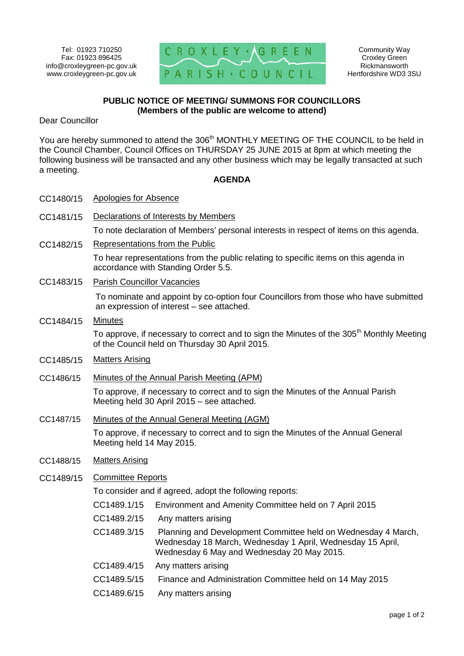

Community Way Croxley Green Rickmansworth Hertfordshire WD3 3SU

## **PUBLIC NOTICE OF MEETING/ SUMMONS FOR COUNCILLORS (Members of the public are welcome to attend)**

Dear Councillor

You are hereby summoned to attend the 306<sup>th</sup> MONTHLY MEETING OF THE COUNCIL to be held in the Council Chamber, Council Offices on THURSDAY 25 JUNE 2015 at 8pm at which meeting the following business will be transacted and any other business which may be legally transacted at such a meeting.

## **AGENDA**

| CC1480/15 | <b>Apologies for Absence</b>                                                                                                                           |                                                                                                                                                                           |
|-----------|--------------------------------------------------------------------------------------------------------------------------------------------------------|---------------------------------------------------------------------------------------------------------------------------------------------------------------------------|
| CC1481/15 | Declarations of Interests by Members                                                                                                                   |                                                                                                                                                                           |
|           | To note declaration of Members' personal interests in respect of items on this agenda.                                                                 |                                                                                                                                                                           |
| CC1482/15 | Representations from the Public                                                                                                                        |                                                                                                                                                                           |
|           | To hear representations from the public relating to specific items on this agenda in<br>accordance with Standing Order 5.5.                            |                                                                                                                                                                           |
| CC1483/15 | <b>Parish Councillor Vacancies</b>                                                                                                                     |                                                                                                                                                                           |
|           | To nominate and appoint by co-option four Councillors from those who have submitted<br>an expression of interest – see attached.                       |                                                                                                                                                                           |
| CC1484/15 | <b>Minutes</b>                                                                                                                                         |                                                                                                                                                                           |
|           | To approve, if necessary to correct and to sign the Minutes of the 305 <sup>th</sup> Monthly Meeting<br>of the Council held on Thursday 30 April 2015. |                                                                                                                                                                           |
| CC1485/15 | <b>Matters Arising</b>                                                                                                                                 |                                                                                                                                                                           |
| CC1486/15 | Minutes of the Annual Parish Meeting (APM)                                                                                                             |                                                                                                                                                                           |
|           | To approve, if necessary to correct and to sign the Minutes of the Annual Parish<br>Meeting held 30 April 2015 - see attached.                         |                                                                                                                                                                           |
| CC1487/15 | Minutes of the Annual General Meeting (AGM)                                                                                                            |                                                                                                                                                                           |
|           | To approve, if necessary to correct and to sign the Minutes of the Annual General<br>Meeting held 14 May 2015.                                         |                                                                                                                                                                           |
| CC1488/15 | <b>Matters Arising</b>                                                                                                                                 |                                                                                                                                                                           |
| CC1489/15 | Committee Reports                                                                                                                                      |                                                                                                                                                                           |
|           | To consider and if agreed, adopt the following reports:                                                                                                |                                                                                                                                                                           |
|           | CC1489.1/15                                                                                                                                            | Environment and Amenity Committee held on 7 April 2015                                                                                                                    |
|           | CC1489.2/15                                                                                                                                            | Any matters arising                                                                                                                                                       |
|           | CC1489.3/15                                                                                                                                            | Planning and Development Committee held on Wednesday 4 March,<br>Wednesday 18 March, Wednesday 1 April, Wednesday 15 April,<br>Wednesday 6 May and Wednesday 20 May 2015. |
|           | CC1489.4/15                                                                                                                                            | Any matters arising                                                                                                                                                       |
|           | CC1489.5/15                                                                                                                                            | Finance and Administration Committee held on 14 May 2015                                                                                                                  |
|           | CC1489.6/15                                                                                                                                            | Any matters arising                                                                                                                                                       |